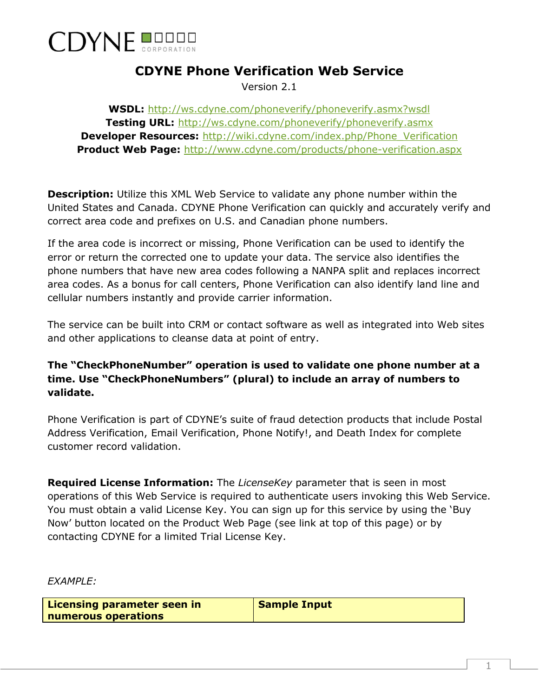

## **CDYNE Phone Verification Web Service**

Version 2.1

**WSDL:** <http://ws.cdyne.com/phoneverify/phoneverify.asmx?wsdl> **Testing URL:** <http://ws.cdyne.com/phoneverify/phoneverify.asmx> **Developer Resources: [http://wiki.cdyne.com/index.php/Phone\\_Verification](http://wiki.cdyne.com/index.php/Phone_Verification) Product Web Page:** <http://www.cdyne.com/products/phone-verification.aspx>

**Description:** Utilize this XML Web Service to validate any phone number within the United States and Canada. CDYNE Phone Verification can quickly and accurately verify and correct area code and prefixes on U.S. and Canadian phone numbers.

If the area code is incorrect or missing, Phone Verification can be used to identify the error or return the corrected one to update your data. The service also identifies the phone numbers that have new area codes following a NANPA split and replaces incorrect area codes. As a bonus for call centers, Phone Verification can also identify land line and cellular numbers instantly and provide carrier information.

The service can be built into CRM or contact software as well as integrated into Web sites and other applications to cleanse data at point of entry.

## **The "CheckPhoneNumber" operation is used to validate one phone number at a time. Use "CheckPhoneNumbers" (plural) to include an array of numbers to validate.**

Phone Verification is part of CDYNE's suite of fraud detection products that include Postal Address Verification, Email Verification, Phone Notify!, and Death Index for complete customer record validation.

**Required License Information:** The *LicenseKey* parameter that is seen in most operations of this Web Service is required to authenticate users invoking this Web Service. You must obtain a valid License Key. You can sign up for this service by using the 'Buy Now' button located on the Product Web Page (see link at top of this page) or by contacting CDYNE for a limited Trial License Key.

*EXAMPLE:*

**Licensing parameter seen in numerous operations** 

**Sample Input**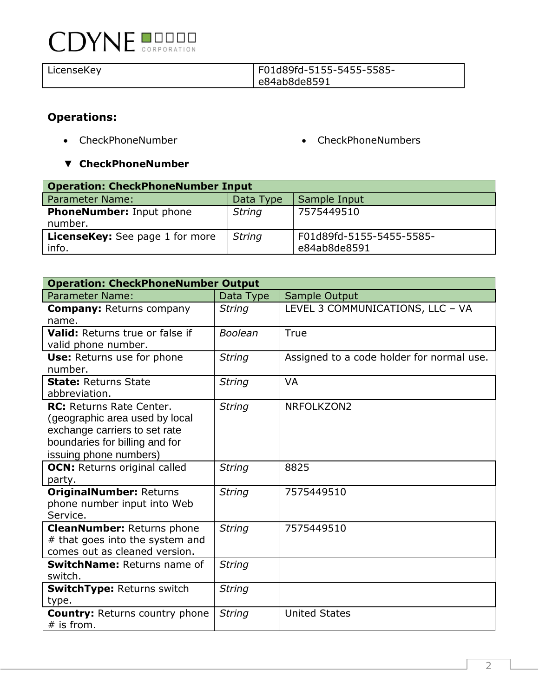# **CDYNE DUDLE**

#### LicenseKey F01d89fd-5155-5455-5585 e84ab8de8591

## **Operations:**

- 
- CheckPhoneNumber CheckPhoneNumbers
- ▼ **CheckPhoneNumber**

| <b>Operation: CheckPhoneNumber Input</b>        |               |                                          |
|-------------------------------------------------|---------------|------------------------------------------|
| Parameter Name:                                 | Data Type     | Sample Input                             |
| <b>PhoneNumber:</b> Input phone<br>number.      | <b>String</b> | 7575449510                               |
| <b>LicenseKey:</b> See page 1 for more<br>info. | <b>String</b> | F01d89fd-5155-5455-5585-<br>e84ab8de8591 |

| <b>Operation: CheckPhoneNumber Output</b>                                                                                                                      |                |                                           |  |
|----------------------------------------------------------------------------------------------------------------------------------------------------------------|----------------|-------------------------------------------|--|
| <b>Parameter Name:</b>                                                                                                                                         | Data Type      | Sample Output                             |  |
| <b>Company: Returns company</b><br>name.                                                                                                                       | <b>String</b>  | LEVEL 3 COMMUNICATIONS, LLC - VA          |  |
| Valid: Returns true or false if                                                                                                                                | <b>Boolean</b> | True                                      |  |
| valid phone number.                                                                                                                                            |                |                                           |  |
| Use: Returns use for phone<br>number.                                                                                                                          | <b>String</b>  | Assigned to a code holder for normal use. |  |
| <b>State: Returns State</b><br>abbreviation.                                                                                                                   | <b>String</b>  | <b>VA</b>                                 |  |
| <b>RC:</b> Returns Rate Center.<br>(geographic area used by local<br>exchange carriers to set rate<br>boundaries for billing and for<br>issuing phone numbers) | <b>String</b>  | NRFOLKZON2                                |  |
| <b>OCN:</b> Returns original called<br>party.                                                                                                                  | <b>String</b>  | 8825                                      |  |
| <b>OriginalNumber: Returns</b><br>phone number input into Web<br>Service.                                                                                      | <b>String</b>  | 7575449510                                |  |
| <b>CleanNumber: Returns phone</b><br># that goes into the system and<br>comes out as cleaned version.                                                          | <b>String</b>  | 7575449510                                |  |
| <b>SwitchName: Returns name of</b><br>switch.                                                                                                                  | <b>String</b>  |                                           |  |
| <b>SwitchType: Returns switch</b><br>type.                                                                                                                     | <b>String</b>  |                                           |  |
| <b>Country: Returns country phone</b><br>$#$ is from.                                                                                                          | <b>String</b>  | <b>United States</b>                      |  |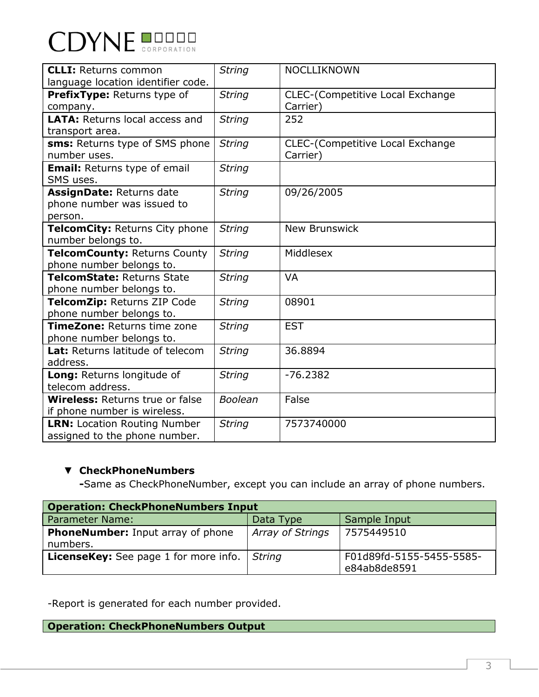

| <b>CLLI: Returns common</b>            | <b>String</b>  | <b>NOCLLIKNOWN</b>                      |
|----------------------------------------|----------------|-----------------------------------------|
| language location identifier code.     |                |                                         |
| PrefixType: Returns type of            | <b>String</b>  | <b>CLEC-(Competitive Local Exchange</b> |
| company.                               |                | Carrier)                                |
| <b>LATA: Returns local access and</b>  | <b>String</b>  | 252                                     |
| transport area.                        |                |                                         |
| sms: Returns type of SMS phone         | <b>String</b>  | CLEC-(Competitive Local Exchange        |
| number uses.                           |                | Carrier)                                |
| <b>Email:</b> Returns type of email    | <b>String</b>  |                                         |
| SMS uses.                              |                |                                         |
| AssignDate: Returns date               | <b>String</b>  | 09/26/2005                              |
| phone number was issued to             |                |                                         |
| person.                                |                |                                         |
| TelcomCity: Returns City phone         | <b>String</b>  | <b>New Brunswick</b>                    |
| number belongs to.                     |                |                                         |
| TelcomCounty: Returns County           | <b>String</b>  | Middlesex                               |
| phone number belongs to.               |                |                                         |
| TelcomState: Returns State             | <b>String</b>  | <b>VA</b>                               |
| phone number belongs to.               |                |                                         |
| TelcomZip: Returns ZIP Code            | <b>String</b>  | 08901                                   |
| phone number belongs to.               |                |                                         |
| TimeZone: Returns time zone            | <b>String</b>  | <b>EST</b>                              |
| phone number belongs to.               |                |                                         |
| Lat: Returns latitude of telecom       | <b>String</b>  | 36.8894                                 |
| address.                               |                |                                         |
| Long: Returns longitude of             | <b>String</b>  | $-76.2382$                              |
| telecom address.                       |                |                                         |
| <b>Wireless: Returns true or false</b> | <b>Boolean</b> | False                                   |
| if phone number is wireless.           |                |                                         |
| <b>LRN: Location Routing Number</b>    | <b>String</b>  | 7573740000                              |
| assigned to the phone number.          |                |                                         |

### ▼ **CheckPhoneNumbers**

**-**Same as CheckPhoneNumber, except you can include an array of phone numbers.

| <b>Operation: CheckPhoneNumbers Input</b>            |                         |                                          |
|------------------------------------------------------|-------------------------|------------------------------------------|
| <b>Parameter Name:</b>                               | Data Type               | Sample Input                             |
| <b>PhoneNumber:</b> Input array of phone<br>numbers. | <b>Array of Strings</b> | 7575449510                               |
| LicenseKey: See page 1 for more info.   String       |                         | F01d89fd-5155-5455-5585-<br>e84ab8de8591 |

-Report is generated for each number provided.

**Operation: CheckPhoneNumbers Output**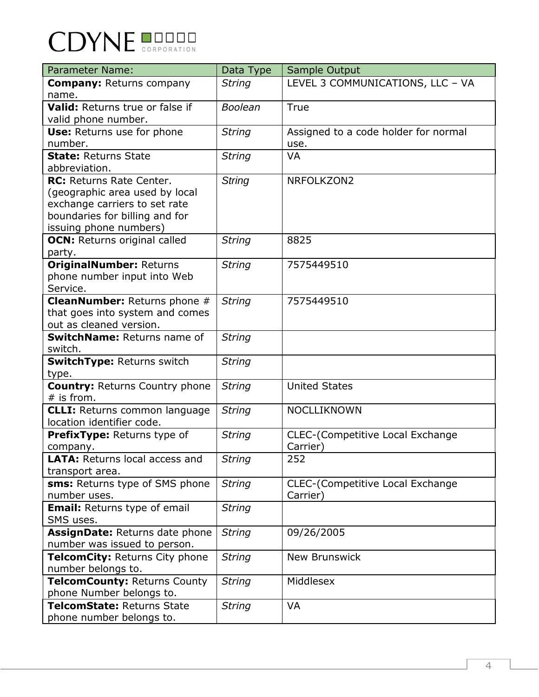| <b>CDYNE BUDDER</b> |  |
|---------------------|--|
|                     |  |

| <b>Parameter Name:</b>                  | Data Type      | Sample Output                           |
|-----------------------------------------|----------------|-----------------------------------------|
| <b>Company: Returns company</b>         | <b>String</b>  | LEVEL 3 COMMUNICATIONS, LLC - VA        |
| name.                                   |                |                                         |
| Valid: Returns true or false if         | <b>Boolean</b> | True                                    |
| valid phone number.                     |                |                                         |
| Use: Returns use for phone              | <b>String</b>  | Assigned to a code holder for normal    |
| number.                                 |                | use.                                    |
| <b>State: Returns State</b>             | <b>String</b>  | <b>VA</b>                               |
| abbreviation.                           |                |                                         |
| RC: Returns Rate Center.                | <b>String</b>  | NRFOLKZON2                              |
| (geographic area used by local          |                |                                         |
| exchange carriers to set rate           |                |                                         |
| boundaries for billing and for          |                |                                         |
| issuing phone numbers)                  |                |                                         |
| <b>OCN:</b> Returns original called     | <b>String</b>  | 8825                                    |
| party.                                  |                |                                         |
| <b>OriginalNumber: Returns</b>          | <b>String</b>  | 7575449510                              |
| phone number input into Web<br>Service. |                |                                         |
| <b>CleanNumber:</b> Returns phone #     | <b>String</b>  | 7575449510                              |
| that goes into system and comes         |                |                                         |
| out as cleaned version.                 |                |                                         |
| SwitchName: Returns name of             | <b>String</b>  |                                         |
| switch.                                 |                |                                         |
| <b>SwitchType: Returns switch</b>       | <b>String</b>  |                                         |
| type.                                   |                |                                         |
| <b>Country: Returns Country phone</b>   | <b>String</b>  | <b>United States</b>                    |
| $#$ is from.                            |                |                                         |
| <b>CLLI:</b> Returns common language    | <b>String</b>  | <b>NOCLLIKNOWN</b>                      |
| location identifier code.               |                |                                         |
| PrefixType: Returns type of             | <b>String</b>  | <b>CLEC-(Competitive Local Exchange</b> |
| company.                                |                | Carrier)                                |
| LATA: Returns local access and          | <b>String</b>  | 252                                     |
| transport area.                         |                |                                         |
| <b>sms:</b> Returns type of SMS phone   | <b>String</b>  | CLEC-(Competitive Local Exchange        |
| number uses.                            |                | Carrier)                                |
| <b>Email:</b> Returns type of email     | <b>String</b>  |                                         |
| SMS uses.                               |                |                                         |
| AssignDate: Returns date phone          | <b>String</b>  | 09/26/2005                              |
| number was issued to person.            |                |                                         |
| TelcomCity: Returns City phone          | <b>String</b>  | <b>New Brunswick</b>                    |
| number belongs to.                      |                |                                         |
| TelcomCounty: Returns County            | <b>String</b>  | Middlesex                               |
| phone Number belongs to.                |                |                                         |
| TelcomState: Returns State              | <b>String</b>  | VA                                      |
| phone number belongs to.                |                |                                         |